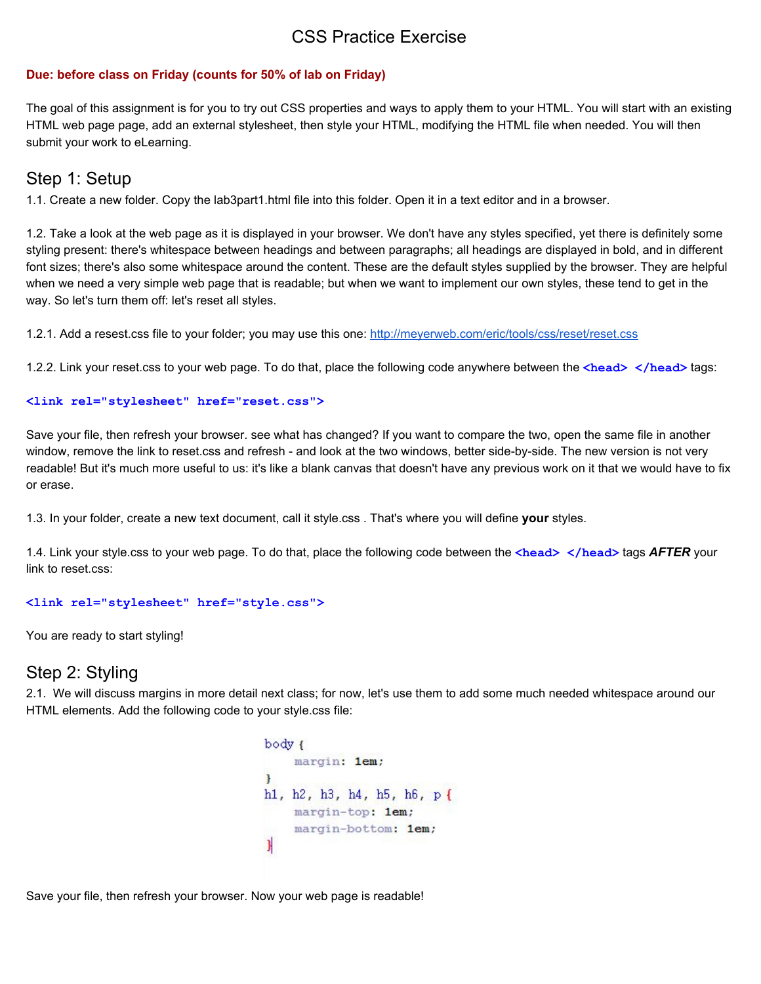# CSS Practice Exercise

### **Due: before class on Friday (counts for 50% of lab on Friday)**

The goal of this assignment is for you to try out CSS properties and ways to apply them to your HTML. You will start with an existing HTML web page page, add an external stylesheet, then style your HTML, modifying the HTML file when needed. You will then submit your work to eLearning.

## Step 1: Setup

1.1. Create a new folder. Copy the lab3part1.html file into this folder. Open it in a text editor and in a browser.

1.2. Take a look at the web page as it is displayed in your browser. We don't have any styles specified, yet there is definitely some styling present: there's whitespace between headings and between paragraphs; all headings are displayed in bold, and in different font sizes; there's also some whitespace around the content. These are the default styles supplied by the browser. They are helpful when we need a very simple web page that is readable; but when we want to implement our own styles, these tend to get in the way. So let's turn them off: let's reset all styles.

1.2.1. Add a resest.css file to your folder; you may use this one: <http://meyerweb.com/eric/tools/css/reset/reset.css>

1.2.2. Link your reset.css to your web page. To do that, place the following code anywhere between the **<head> </head>** tags:

#### **<link rel="stylesheet" href="reset.css">**

Save your file, then refresh your browser. see what has changed? If you want to compare the two, open the same file in another window, remove the link to reset.css and refresh - and look at the two windows, better side-by-side. The new version is not very readable! But it's much more useful to us: it's like a blank canvas that doesn't have any previous work on it that we would have to fix or erase.

1.3. In your folder, create a new text document, call it style.css . That's where you will define **your** styles.

1.4. Link your style.css to your web page. To do that, place the following code between the **<head> </head>** tags *AFTER* your link to reset.css:

#### **<link rel="stylesheet" href="style.css">**

You are ready to start styling!

# Step 2: Styling

2.1. We will discuss margins in more detail next class; for now, let's use them to add some much needed whitespace around our HTML elements. Add the following code to your style.css file:

```
body {
    margin: 1em:
I
h1, h2, h3, h4, h5, h6, p{
    margin-top: 1em;
    margin-bottom: 1em;
\mathbf{I}
```
Save your file, then refresh your browser. Now your web page is readable!